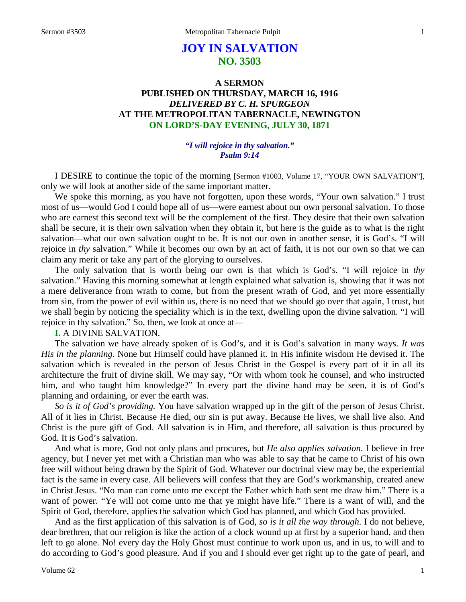# **JOY IN SALVATION NO. 3503**

# **A SERMON PUBLISHED ON THURSDAY, MARCH 16, 1916** *DELIVERED BY C. H. SPURGEON* **AT THE METROPOLITAN TABERNACLE, NEWINGTON ON LORD'S-DAY EVENING, JULY 30, 1871**

#### *"I will rejoice in thy salvation." Psalm 9:14*

I DESIRE to continue the topic of the morning [Sermon #1003, Volume 17, "YOUR OWN SALVATION"], only we will look at another side of the same important matter.

We spoke this morning, as you have not forgotten, upon these words, "Your own salvation." I trust most of us—would God I could hope all of us—were earnest about our own personal salvation. To those who are earnest this second text will be the complement of the first. They desire that their own salvation shall be secure, it is their own salvation when they obtain it, but here is the guide as to what is the right salvation—what our own salvation ought to be. It is not our own in another sense, it is God's. "I will rejoice in *thy* salvation." While it becomes our own by an act of faith, it is not our own so that we can claim any merit or take any part of the glorying to ourselves.

The only salvation that is worth being our own is that which is God's. "I will rejoice in *thy* salvation." Having this morning somewhat at length explained what salvation is, showing that it was not a mere deliverance from wrath to come, but from the present wrath of God, and yet more essentially from sin, from the power of evil within us, there is no need that we should go over that again, I trust, but we shall begin by noticing the speciality which is in the text, dwelling upon the divine salvation. "I will rejoice in thy salvation." So, then, we look at once at—

### **I.** A DIVINE SALVATION.

The salvation we have already spoken of is God's, and it is God's salvation in many ways. *It was His in the planning.* None but Himself could have planned it. In His infinite wisdom He devised it. The salvation which is revealed in the person of Jesus Christ in the Gospel is every part of it in all its architecture the fruit of divine skill. We may say, "Or with whom took he counsel, and who instructed him, and who taught him knowledge?" In every part the divine hand may be seen, it is of God's planning and ordaining, or ever the earth was.

*So is it of God's providing.* You have salvation wrapped up in the gift of the person of Jesus Christ. All of it lies in Christ. Because He died, our sin is put away. Because He lives, we shall live also. And Christ is the pure gift of God. All salvation is in Him, and therefore, all salvation is thus procured by God. It is God's salvation.

And what is more, God not only plans and procures, but *He also applies salvation*. I believe in free agency, but I never yet met with a Christian man who was able to say that he came to Christ of his own free will without being drawn by the Spirit of God. Whatever our doctrinal view may be, the experiential fact is the same in every case. All believers will confess that they are God's workmanship, created anew in Christ Jesus. "No man can come unto me except the Father which hath sent me draw him." There is a want of power. "Ye will not come unto me that ye might have life." There is a want of will, and the Spirit of God, therefore, applies the salvation which God has planned, and which God has provided.

And as the first application of this salvation is of God, *so is it all the way through*. I do not believe, dear brethren, that our religion is like the action of a clock wound up at first by a superior hand, and then left to go alone. No! every day the Holy Ghost must continue to work upon us, and in us, to will and to do according to God's good pleasure. And if you and I should ever get right up to the gate of pearl, and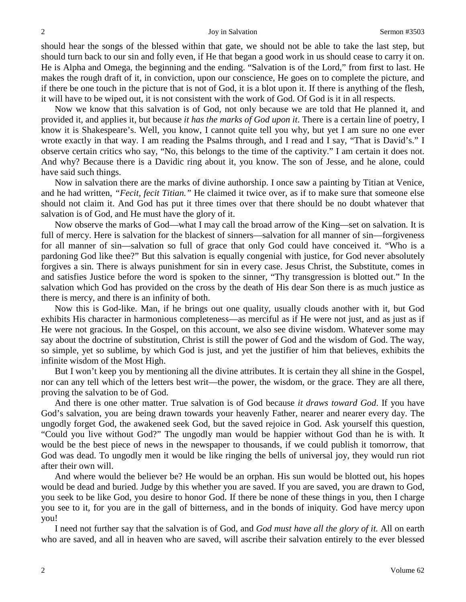should hear the songs of the blessed within that gate, we should not be able to take the last step, but should turn back to our sin and folly even, if He that began a good work in us should cease to carry it on. He is Alpha and Omega, the beginning and the ending. "Salvation is of the Lord," from first to last. He makes the rough draft of it, in conviction, upon our conscience, He goes on to complete the picture, and if there be one touch in the picture that is not of God, it is a blot upon it. If there is anything of the flesh, it will have to be wiped out, it is not consistent with the work of God. Of God is it in all respects.

Now we know that this salvation is of God, not only because we are told that He planned it, and provided it, and applies it, but because *it has the marks of God upon it*. There is a certain line of poetry, I know it is Shakespeare's. Well, you know, I cannot quite tell you why, but yet I am sure no one ever wrote exactly in that way. I am reading the Psalms through, and I read and I say, "That is David's." I observe certain critics who say, "No, this belongs to the time of the captivity." I am certain it does not. And why? Because there is a Davidic ring about it, you know. The son of Jesse, and he alone, could have said such things.

Now in salvation there are the marks of divine authorship. I once saw a painting by Titian at Venice, and he had written, *"Fecit, fecit Titian."* He claimed it twice over, as if to make sure that someone else should not claim it. And God has put it three times over that there should be no doubt whatever that salvation is of God, and He must have the glory of it.

Now observe the marks of God—what I may call the broad arrow of the King—set on salvation. It is full of mercy. Here is salvation for the blackest of sinners—salvation for all manner of sin—forgiveness for all manner of sin—salvation so full of grace that only God could have conceived it. "Who is a pardoning God like thee?" But this salvation is equally congenial with justice, for God never absolutely forgives a sin. There is always punishment for sin in every case. Jesus Christ, the Substitute, comes in and satisfies Justice before the word is spoken to the sinner, "Thy transgression is blotted out." In the salvation which God has provided on the cross by the death of His dear Son there is as much justice as there is mercy, and there is an infinity of both.

Now this is God-like. Man, if he brings out one quality, usually clouds another with it, but God exhibits His character in harmonious completeness—as merciful as if He were not just, and as just as if He were not gracious. In the Gospel, on this account, we also see divine wisdom. Whatever some may say about the doctrine of substitution, Christ is still the power of God and the wisdom of God. The way, so simple, yet so sublime, by which God is just, and yet the justifier of him that believes, exhibits the infinite wisdom of the Most High.

But I won't keep you by mentioning all the divine attributes. It is certain they all shine in the Gospel, nor can any tell which of the letters best writ—the power, the wisdom, or the grace. They are all there, proving the salvation to be of God.

And there is one other matter. True salvation is of God because *it draws toward God*. If you have God's salvation, you are being drawn towards your heavenly Father, nearer and nearer every day. The ungodly forget God, the awakened seek God, but the saved rejoice in God. Ask yourself this question, "Could you live without God?" The ungodly man would be happier without God than he is with. It would be the best piece of news in the newspaper to thousands, if we could publish it tomorrow, that God was dead. To ungodly men it would be like ringing the bells of universal joy, they would run riot after their own will.

And where would the believer be? He would be an orphan. His sun would be blotted out, his hopes would be dead and buried. Judge by this whether you are saved. If you are saved, you are drawn to God, you seek to be like God, you desire to honor God. If there be none of these things in you, then I charge you see to it, for you are in the gall of bitterness, and in the bonds of iniquity. God have mercy upon you!

I need not further say that the salvation is of God, and *God must have all the glory of it.* All on earth who are saved, and all in heaven who are saved, will ascribe their salvation entirely to the ever blessed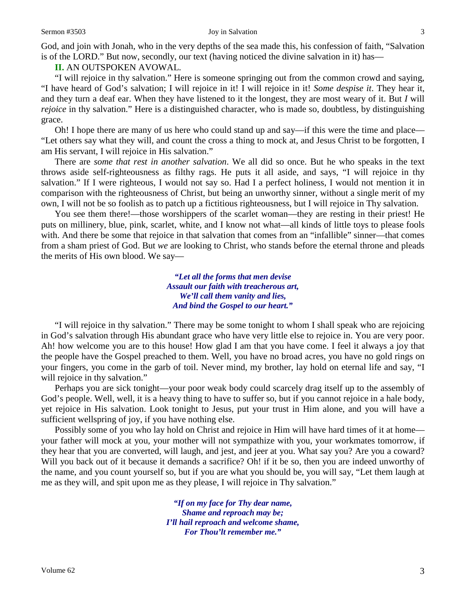#### Sermon #3503 Joy in Salvation 3

God, and join with Jonah, who in the very depths of the sea made this, his confession of faith, "Salvation is of the LORD." But now, secondly, our text (having noticed the divine salvation in it) has—

**II.** AN OUTSPOKEN AVOWAL.

"I will rejoice in thy salvation." Here is someone springing out from the common crowd and saying, "I have heard of God's salvation; I will rejoice in it! I will rejoice in it! *Some despise it*. They hear it, and they turn a deaf ear. When they have listened to it the longest, they are most weary of it. But *I* will *rejoice* in thy salvation." Here is a distinguished character, who is made so, doubtless, by distinguishing grace.

Oh! I hope there are many of us here who could stand up and say—if this were the time and place— "Let others say what they will, and count the cross a thing to mock at, and Jesus Christ to be forgotten, I am His servant, I will rejoice in His salvation."

There are *some that rest in another salvation*. We all did so once. But he who speaks in the text throws aside self-righteousness as filthy rags. He puts it all aside, and says, "I will rejoice in thy salvation." If I were righteous, I would not say so. Had I a perfect holiness, I would not mention it in comparison with the righteousness of Christ, but being an unworthy sinner, without a single merit of my own, I will not be so foolish as to patch up a fictitious righteousness, but I will rejoice in Thy salvation.

You see them there!—those worshippers of the scarlet woman—they are resting in their priest! He puts on millinery, blue, pink, scarlet, white, and I know not what—all kinds of little toys to please fools with. And there be some that rejoice in that salvation that comes from an "infallible" sinner—that comes from a sham priest of God. But *we* are looking to Christ, who stands before the eternal throne and pleads the merits of His own blood. We say—

> *"Let all the forms that men devise Assault our faith with treacherous art, We'll call them vanity and lies, And bind the Gospel to our heart."*

"I will rejoice in thy salvation." There may be some tonight to whom I shall speak who are rejoicing in God's salvation through His abundant grace who have very little else to rejoice in. You are very poor. Ah! how welcome you are to this house! How glad I am that you have come. I feel it always a joy that the people have the Gospel preached to them. Well, you have no broad acres, you have no gold rings on your fingers, you come in the garb of toil. Never mind, my brother, lay hold on eternal life and say, "I will rejoice in thy salvation."

Perhaps you are sick tonight—your poor weak body could scarcely drag itself up to the assembly of God's people. Well, well, it is a heavy thing to have to suffer so, but if you cannot rejoice in a hale body, yet rejoice in His salvation. Look tonight to Jesus, put your trust in Him alone, and you will have a sufficient wellspring of joy, if you have nothing else.

Possibly some of you who lay hold on Christ and rejoice in Him will have hard times of it at home your father will mock at you, your mother will not sympathize with you, your workmates tomorrow, if they hear that you are converted, will laugh, and jest, and jeer at you. What say you? Are you a coward? Will you back out of it because it demands a sacrifice? Oh! if it be so, then you are indeed unworthy of the name, and you count yourself so, but if you are what you should be, you will say, "Let them laugh at me as they will, and spit upon me as they please, I will rejoice in Thy salvation."

> *"If on my face for Thy dear name, Shame and reproach may be; I'll hail reproach and welcome shame, For Thou'lt remember me."*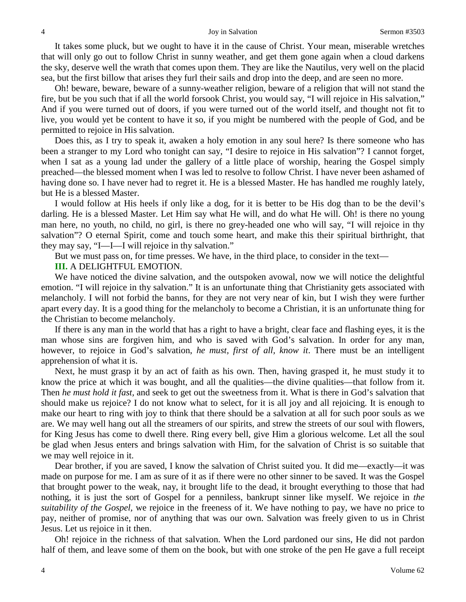It takes some pluck, but we ought to have it in the cause of Christ. Your mean, miserable wretches that will only go out to follow Christ in sunny weather, and get them gone again when a cloud darkens the sky, deserve well the wrath that comes upon them. They are like the Nautilus, very well on the placid sea, but the first billow that arises they furl their sails and drop into the deep, and are seen no more.

Oh! beware, beware, beware of a sunny-weather religion, beware of a religion that will not stand the fire, but be you such that if all the world forsook Christ, you would say, "I will rejoice in His salvation," And if you were turned out of doors, if you were turned out of the world itself, and thought not fit to live, you would yet be content to have it so, if you might be numbered with the people of God, and be permitted to rejoice in His salvation.

Does this, as I try to speak it, awaken a holy emotion in any soul here? Is there someone who has been a stranger to my Lord who tonight can say, "I desire to rejoice in His salvation"? I cannot forget, when I sat as a young lad under the gallery of a little place of worship, hearing the Gospel simply preached—the blessed moment when I was led to resolve to follow Christ. I have never been ashamed of having done so. I have never had to regret it. He is a blessed Master. He has handled me roughly lately, but He is a blessed Master.

I would follow at His heels if only like a dog, for it is better to be His dog than to be the devil's darling. He is a blessed Master. Let Him say what He will, and do what He will. Oh! is there no young man here, no youth, no child, no girl, is there no grey-headed one who will say, "I will rejoice in thy salvation"? O eternal Spirit, come and touch some heart, and make this their spiritual birthright, that they may say, "I—I—I will rejoice in thy salvation."

But we must pass on, for time presses. We have, in the third place, to consider in the text—

#### **III.** A DELIGHTFUL EMOTION.

We have noticed the divine salvation, and the outspoken avowal, now we will notice the delightful emotion. "I will rejoice in thy salvation." It is an unfortunate thing that Christianity gets associated with melancholy. I will not forbid the banns, for they are not very near of kin, but I wish they were further apart every day. It is a good thing for the melancholy to become a Christian, it is an unfortunate thing for the Christian to become melancholy.

If there is any man in the world that has a right to have a bright, clear face and flashing eyes, it is the man whose sins are forgiven him, and who is saved with God's salvation. In order for any man, however, to rejoice in God's salvation, *he must, first of all, know it*. There must be an intelligent apprehension of what it is.

Next, he must grasp it by an act of faith as his own. Then, having grasped it, he must study it to know the price at which it was bought, and all the qualities—the divine qualities—that follow from it. Then *he must hold it fast,* and seek to get out the sweetness from it. What is there in God's salvation that should make us rejoice? I do not know what to select, for it is all joy and all rejoicing. It is enough to make our heart to ring with joy to think that there should be a salvation at all for such poor souls as we are. We may well hang out all the streamers of our spirits, and strew the streets of our soul with flowers, for King Jesus has come to dwell there. Ring every bell, give Him a glorious welcome. Let all the soul be glad when Jesus enters and brings salvation with Him, for the salvation of Christ is so suitable that we may well rejoice in it.

Dear brother, if you are saved, I know the salvation of Christ suited you. It did me—exactly—it was made on purpose for me. I am as sure of it as if there were no other sinner to be saved. It was the Gospel that brought power to the weak, nay, it brought life to the dead, it brought everything to those that had nothing, it is just the sort of Gospel for a penniless, bankrupt sinner like myself. We rejoice in *the suitability of the Gospel,* we rejoice in the freeness of it. We have nothing to pay, we have no price to pay, neither of promise, nor of anything that was our own. Salvation was freely given to us in Christ Jesus. Let us rejoice in it then.

Oh! rejoice in the richness of that salvation. When the Lord pardoned our sins, He did not pardon half of them, and leave some of them on the book, but with one stroke of the pen He gave a full receipt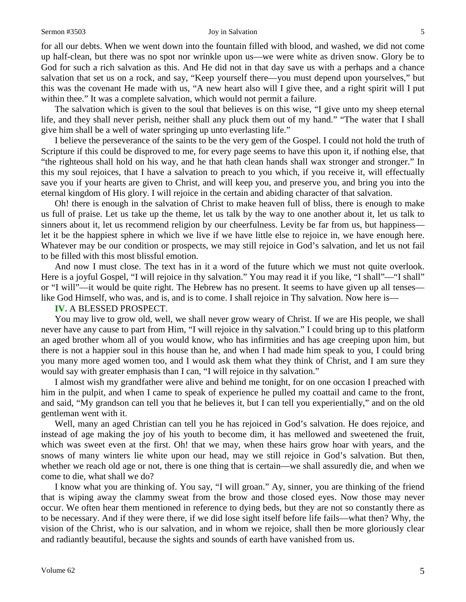#### Sermon #3503 Joy in Salvation 5

for all our debts. When we went down into the fountain filled with blood, and washed, we did not come up half-clean, but there was no spot nor wrinkle upon us—we were white as driven snow. Glory be to God for such a rich salvation as this. And He did not in that day save us with a perhaps and a chance salvation that set us on a rock, and say, "Keep yourself there—you must depend upon yourselves," but this was the covenant He made with us, "A new heart also will I give thee, and a right spirit will I put within thee." It was a complete salvation, which would not permit a failure.

The salvation which is given to the soul that believes is on this wise, "I give unto my sheep eternal life, and they shall never perish, neither shall any pluck them out of my hand." "The water that I shall give him shall be a well of water springing up unto everlasting life."

I believe the perseverance of the saints to be the very gem of the Gospel. I could not hold the truth of Scripture if this could be disproved to me, for every page seems to have this upon it, if nothing else, that "the righteous shall hold on his way, and he that hath clean hands shall wax stronger and stronger." In this my soul rejoices, that I have a salvation to preach to you which, if you receive it, will effectually save you if your hearts are given to Christ, and will keep you, and preserve you, and bring you into the eternal kingdom of His glory. I will rejoice in the certain and abiding character of that salvation.

Oh! there is enough in the salvation of Christ to make heaven full of bliss, there is enough to make us full of praise. Let us take up the theme, let us talk by the way to one another about it, let us talk to sinners about it, let us recommend religion by our cheerfulness. Levity be far from us, but happiness let it be the happiest sphere in which we live if we have little else to rejoice in, we have enough here. Whatever may be our condition or prospects, we may still rejoice in God's salvation, and let us not fail to be filled with this most blissful emotion.

And now I must close. The text has in it a word of the future which we must not quite overlook. Here is a joyful Gospel, "I will rejoice in thy salvation." You may read it if you like, "I shall"—"I shall" or "I will"—it would be quite right. The Hebrew has no present. It seems to have given up all tenses like God Himself, who was, and is, and is to come. I shall rejoice in Thy salvation. Now here is—

**IV.** A BLESSED PROSPECT.

You may live to grow old, well, we shall never grow weary of Christ. If we are His people, we shall never have any cause to part from Him, "I will rejoice in thy salvation." I could bring up to this platform an aged brother whom all of you would know, who has infirmities and has age creeping upon him, but there is not a happier soul in this house than he, and when I had made him speak to you, I could bring you many more aged women too, and I would ask them what they think of Christ, and I am sure they would say with greater emphasis than I can, "I will rejoice in thy salvation."

I almost wish my grandfather were alive and behind me tonight, for on one occasion I preached with him in the pulpit, and when I came to speak of experience he pulled my coattail and came to the front, and said, "My grandson can tell you that he believes it, but I can tell you experientially," and on the old gentleman went with it.

Well, many an aged Christian can tell you he has rejoiced in God's salvation. He does rejoice, and instead of age making the joy of his youth to become dim, it has mellowed and sweetened the fruit, which was sweet even at the first. Oh! that we may, when these hairs grow hoar with years, and the snows of many winters lie white upon our head, may we still rejoice in God's salvation. But then, whether we reach old age or not, there is one thing that is certain—we shall assuredly die, and when we come to die, what shall we do?

I know what you are thinking of. You say, "I will groan." Ay, sinner, you are thinking of the friend that is wiping away the clammy sweat from the brow and those closed eyes. Now those may never occur. We often hear them mentioned in reference to dying beds, but they are not so constantly there as to be necessary. And if they were there, if we did lose sight itself before life fails—what then? Why, the vision of the Christ, who is our salvation, and in whom we rejoice, shall then be more gloriously clear and radiantly beautiful, because the sights and sounds of earth have vanished from us.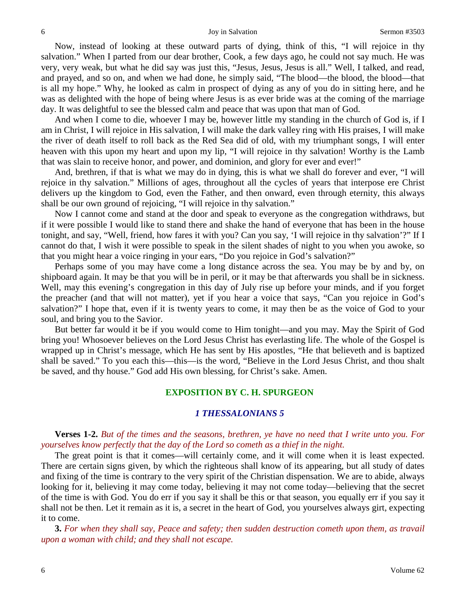Now, instead of looking at these outward parts of dying, think of this, "I will rejoice in thy salvation." When I parted from our dear brother, Cook, a few days ago, he could not say much. He was very, very weak, but what he did say was just this, "Jesus, Jesus, Jesus is all." Well, I talked, and read, and prayed, and so on, and when we had done, he simply said, "The blood—the blood, the blood—that is all my hope." Why, he looked as calm in prospect of dying as any of you do in sitting here, and he was as delighted with the hope of being where Jesus is as ever bride was at the coming of the marriage day. It was delightful to see the blessed calm and peace that was upon that man of God.

And when I come to die, whoever I may be, however little my standing in the church of God is, if I am in Christ, I will rejoice in His salvation, I will make the dark valley ring with His praises, I will make the river of death itself to roll back as the Red Sea did of old, with my triumphant songs, I will enter heaven with this upon my heart and upon my lip, "I will rejoice in thy salvation! Worthy is the Lamb that was slain to receive honor, and power, and dominion, and glory for ever and ever!"

And, brethren, if that is what we may do in dying, this is what we shall do forever and ever, "I will rejoice in thy salvation." Millions of ages, throughout all the cycles of years that interpose ere Christ delivers up the kingdom to God, even the Father, and then onward, even through eternity, this always shall be our own ground of rejoicing, "I will rejoice in thy salvation."

Now I cannot come and stand at the door and speak to everyone as the congregation withdraws, but if it were possible I would like to stand there and shake the hand of everyone that has been in the house tonight, and say, "Well, friend, how fares it with you? Can you say, 'I will rejoice in thy salvation'?" If I cannot do that, I wish it were possible to speak in the silent shades of night to you when you awoke, so that you might hear a voice ringing in your ears, "Do you rejoice in God's salvation?"

Perhaps some of you may have come a long distance across the sea. You may be by and by, on shipboard again. It may be that you will be in peril, or it may be that afterwards you shall be in sickness. Well, may this evening's congregation in this day of July rise up before your minds, and if you forget the preacher (and that will not matter), yet if you hear a voice that says, "Can you rejoice in God's salvation?" I hope that, even if it is twenty years to come, it may then be as the voice of God to your soul, and bring you to the Savior.

But better far would it be if you would come to Him tonight—and you may. May the Spirit of God bring you! Whosoever believes on the Lord Jesus Christ has everlasting life. The whole of the Gospel is wrapped up in Christ's message, which He has sent by His apostles, "He that believeth and is baptized shall be saved." To you each this—this—is the word, "Believe in the Lord Jesus Christ, and thou shalt be saved, and thy house." God add His own blessing, for Christ's sake. Amen.

### **EXPOSITION BY C. H. SPURGEON**

### *1 THESSALONIANS 5*

## **Verses 1-2.** *But of the times and the seasons, brethren, ye have no need that I write unto you. For yourselves know perfectly that the day of the Lord so cometh as a thief in the night.*

The great point is that it comes—will certainly come, and it will come when it is least expected. There are certain signs given, by which the righteous shall know of its appearing, but all study of dates and fixing of the time is contrary to the very spirit of the Christian dispensation. We are to abide, always looking for it, believing it may come today, believing it may not come today—believing that the secret of the time is with God. You do err if you say it shall be this or that season, you equally err if you say it shall not be then. Let it remain as it is, a secret in the heart of God, you yourselves always girt, expecting it to come.

**3.** *For when they shall say, Peace and safety; then sudden destruction cometh upon them, as travail upon a woman with child; and they shall not escape.*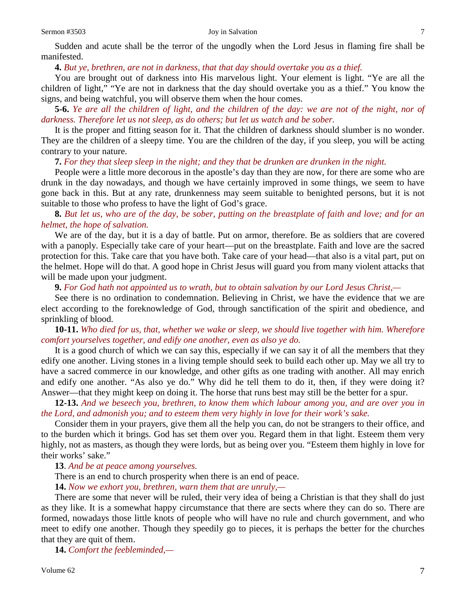Sudden and acute shall be the terror of the ungodly when the Lord Jesus in flaming fire shall be manifested.

### **4.** *But ye, brethren, are not in darkness, that that day should overtake you as a thief.*

You are brought out of darkness into His marvelous light. Your element is light. "Ye are all the children of light," "Ye are not in darkness that the day should overtake you as a thief." You know the signs, and being watchful, you will observe them when the hour comes.

**5-6.** *Ye are all the children of light, and the children of the day: we are not of the night, nor of darkness. Therefore let us not sleep, as do others; but let us watch and be sober.*

It is the proper and fitting season for it. That the children of darkness should slumber is no wonder. They are the children of a sleepy time. You are the children of the day, if you sleep, you will be acting contrary to your nature.

#### **7.** *For they that sleep sleep in the night; and they that be drunken are drunken in the night.*

People were a little more decorous in the apostle's day than they are now, for there are some who are drunk in the day nowadays, and though we have certainly improved in some things, we seem to have gone back in this. But at any rate, drunkenness may seem suitable to benighted persons, but it is not suitable to those who profess to have the light of God's grace.

**8.** *But let us, who are of the day, be sober, putting on the breastplate of faith and love; and for an helmet, the hope of salvation.*

We are of the day, but it is a day of battle. Put on armor, therefore. Be as soldiers that are covered with a panoply. Especially take care of your heart—put on the breastplate. Faith and love are the sacred protection for this. Take care that you have both. Take care of your head—that also is a vital part, put on the helmet. Hope will do that. A good hope in Christ Jesus will guard you from many violent attacks that will be made upon your judgment.

**9.** *For God hath not appointed us to wrath, but to obtain salvation by our Lord Jesus Christ,—*

See there is no ordination to condemnation. Believing in Christ, we have the evidence that we are elect according to the foreknowledge of God, through sanctification of the spirit and obedience, and sprinkling of blood.

**10-11.** *Who died for us, that, whether we wake or sleep, we should live together with him. Wherefore comfort yourselves together, and edify one another, even as also ye do.*

It is a good church of which we can say this, especially if we can say it of all the members that they edify one another. Living stones in a living temple should seek to build each other up. May we all try to have a sacred commerce in our knowledge, and other gifts as one trading with another. All may enrich and edify one another. "As also ye do." Why did he tell them to do it, then, if they were doing it? Answer—that they might keep on doing it. The horse that runs best may still be the better for a spur.

**12-13.** *And we beseech you, brethren, to know them which labour among you, and are over you in the Lord, and admonish you; and to esteem them very highly in love for their work's sake.*

Consider them in your prayers, give them all the help you can, do not be strangers to their office, and to the burden which it brings. God has set them over you. Regard them in that light. Esteem them very highly, not as masters, as though they were lords, but as being over you. "Esteem them highly in love for their works' sake."

**13**. *And be at peace among yourselves.*

There is an end to church prosperity when there is an end of peace.

**14.** *Now we exhort you, brethren, warn them that are unruly,—*

There are some that never will be ruled, their very idea of being a Christian is that they shall do just as they like. It is a somewhat happy circumstance that there are sects where they can do so. There are formed, nowadays those little knots of people who will have no rule and church government, and who meet to edify one another. Though they speedily go to pieces, it is perhaps the better for the churches that they are quit of them.

**14.** *Comfort the feebleminded,—*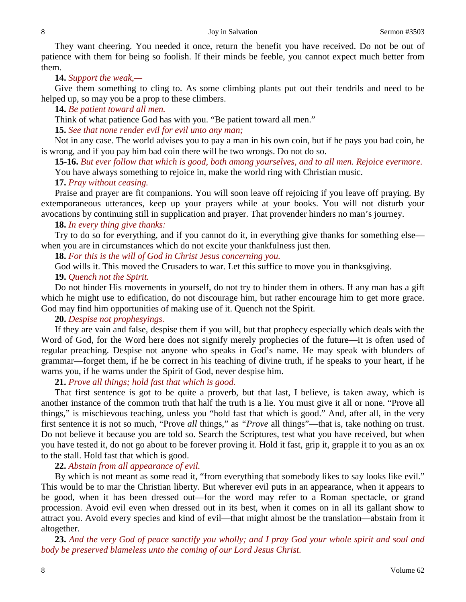They want cheering. You needed it once, return the benefit you have received. Do not be out of patience with them for being so foolish. If their minds be feeble, you cannot expect much better from them.

# **14.** *Support the weak,—*

Give them something to cling to. As some climbing plants put out their tendrils and need to be helped up, so may you be a prop to these climbers.

### **14.** *Be patient toward all men.*

Think of what patience God has with you. "Be patient toward all men."

**15.** *See that none render evil for evil unto any man;*

Not in any case. The world advises you to pay a man in his own coin, but if he pays you bad coin, he is wrong, and if you pay him bad coin there will be two wrongs. Do not do so.

**15-16.** *But ever follow that which is good, both among yourselves, and to all men. Rejoice evermore.* You have always something to rejoice in, make the world ring with Christian music.

# **17.** *Pray without ceasing.*

Praise and prayer are fit companions. You will soon leave off rejoicing if you leave off praying. By extemporaneous utterances, keep up your prayers while at your books. You will not disturb your avocations by continuing still in supplication and prayer. That provender hinders no man's journey.

### **18.** *In every thing give thanks:*

Try to do so for everything, and if you cannot do it, in everything give thanks for something else when you are in circumstances which do not excite your thankfulness just then.

**18.** *For this is the will of God in Christ Jesus concerning you.*

God wills it. This moved the Crusaders to war. Let this suffice to move you in thanksgiving.

# **19.** *Quench not the Spirit.*

Do not hinder His movements in yourself, do not try to hinder them in others. If any man has a gift which he might use to edification, do not discourage him, but rather encourage him to get more grace. God may find him opportunities of making use of it. Quench not the Spirit.

# **20.** *Despise not prophesyings.*

If they are vain and false, despise them if you will, but that prophecy especially which deals with the Word of God, for the Word here does not signify merely prophecies of the future—it is often used of regular preaching. Despise not anyone who speaks in God's name. He may speak with blunders of grammar—forget them, if he be correct in his teaching of divine truth, if he speaks to your heart, if he warns you, if he warns under the Spirit of God, never despise him.

# **21.** *Prove all things; hold fast that which is good.*

That first sentence is got to be quite a proverb, but that last, I believe, is taken away, which is another instance of the common truth that half the truth is a lie. You must give it all or none. "Prove all things," is mischievous teaching, unless you "hold fast that which is good." And, after all, in the very first sentence it is not so much, "Prove *all* things," as *"Prove* all things"—that is, take nothing on trust. Do not believe it because you are told so. Search the Scriptures, test what you have received, but when you have tested it, do not go about to be forever proving it. Hold it fast, grip it, grapple it to you as an ox to the stall. Hold fast that which is good.

# **22.** *Abstain from all appearance of evil.*

By which is not meant as some read it, "from everything that somebody likes to say looks like evil." This would be to mar the Christian liberty. But wherever evil puts in an appearance, when it appears to be good, when it has been dressed out—for the word may refer to a Roman spectacle, or grand procession. Avoid evil even when dressed out in its best, when it comes on in all its gallant show to attract you. Avoid every species and kind of evil—that might almost be the translation—abstain from it altogether.

**23.** *And the very God of peace sanctify you wholly; and I pray God your whole spirit and soul and body be preserved blameless unto the coming of our Lord Jesus Christ.*